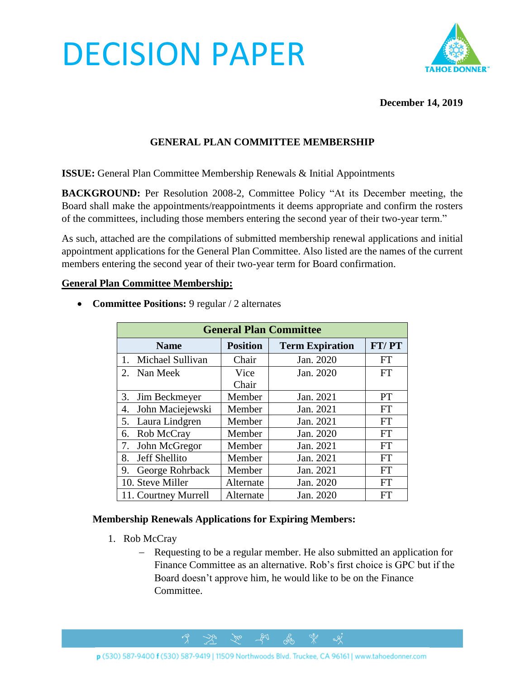# DECISION PAPER



# **December 14, 2019**

# **GENERAL PLAN COMMITTEE MEMBERSHIP**

**ISSUE:** General Plan Committee Membership Renewals & Initial Appointments

**BACKGROUND:** Per Resolution 2008-2, Committee Policy "At its December meeting, the Board shall make the appointments/reappointments it deems appropriate and confirm the rosters of the committees, including those members entering the second year of their two-year term."

As such, attached are the compilations of submitted membership renewal applications and initial appointment applications for the General Plan Committee. Also listed are the names of the current members entering the second year of their two-year term for Board confirmation.

#### **General Plan Committee Membership:**

- **General Plan Committee Name Position Term Expiration FT/ PT** 1. Michael Sullivan Chair Jan. 2020 FT 2. Nan Meek Vice Chair Jan. 2020 FT 3. Jim Beckmeyer | Member | Jan. 2021 | PT 4. John Maciejewski | Member | Jan. 2021 | FT 5. Laura Lindgren Member Jan. 2021 FT 6. Rob McCray | Member | Jan. 2020 | FT 7. John McGregor | Member | Jan. 2021 | FT 8. Jeff Shellito | Member | Jan. 2021 | FT 9. George Rohrback | Member | Jan. 2021 | FT 10. Steve Miller | Alternate | Jan. 2020 | FT 11. Courtney Murrell | Alternate | Jan. 2020 | FT
- **Committee Positions:** 9 regular / 2 alternates

#### **Membership Renewals Applications for Expiring Members:**

- 1. Rob McCray
	- − Requesting to be a regular member. He also submitted an application for Finance Committee as an alternative. Rob's first choice is GPC but if the Board doesn't approve him, he would like to be on the Finance Committee.

ക്ക്

 $\alpha$ 

 $281$ 

 $\gamma$ 

 $\rightarrow$